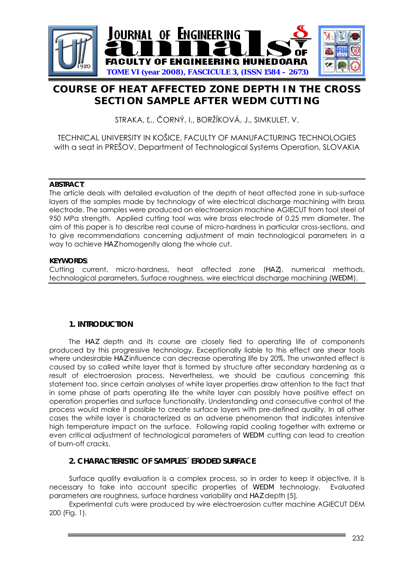

# **COURSE OF HEAT AFFECTED ZONE DEPTH IN THE CROSS SECTION SAMPLE AFTER WEDM CUTTING**

STRAKA, Ľ., ČORNÝ, I., BORŽÍKOVÁ, J., SIMKULET, V.

TECHNICAL UNIVERSITY IN KOŠICE, FACULTY OF MANUFACTURING TECHNOLOGIES with a seat in PREŠOV, Department of Technological Systems Operation, SLOVAKIA

#### **ABSTRACT**:

The article deals with detailed evaluation of the depth of heat affected zone in sub-surface layers of the samples made by technology of wire electrical discharge machining with brass electrode. The samples were produced on electroerosion machine AGIECUT from tool steel of 950 MPa strength. Applied cutting tool was wire brass electrode of 0.25 mm diameter. The aim of this paper is to describe real course of micro-hardness in particular cross-sections, and to give recommendations concerning adjustment of main technological parameters in a way to achieve *HAZ* homogenity along the whole cut.

#### **KEYWORDS**:

Cutting current, micro-hardness, heat affected zone (*HAZ*), numerical methods, technological parameters, Surface roughness, wire electrical discharge machining (*WEDM*).

## **1. INTRODUCTION**

The *HAZ* depth and its course are closely tied to operating life of components produced by this progressive technology. Exceptionally liable to this effect are shear tools where undesirable *HAZ* influence can decrease operating life by 20%. The unwanted effect is caused by so called white layer that is formed by structure after secondary hardening as a result of electroerosion process. Nevertheless, we should be cautious concerning this statement too, since certain analyses of white layer properties draw attention to the fact that in some phase of parts operating life the white layer can possibly have positive effect on operation properties and surface functionality. Understanding and consecutive control of the process would make it possible to create surface layers with pre-defined quality. In all other cases the white layer is characterized as an adverse phenomenon that indicates intensive high temperature impact on the surface. Following rapid cooling together with extreme or even critical adjustment of technological parameters of *WEDM* cutting can lead to creation of burn-off cracks.

## **2. CHARACTERISTIC OF SAMPLES´ ERODED SURFACE**

Surface quality evaluation is a complex process, so in order to keep it objective, it is necessary to take into account specific properties of *WEDM* technology. Evaluated parameters are roughness, surface hardness variability and *HAZ* depth [5].

Experimental cuts were produced by wire electroerosion cutter machine AGIECUT DEM 200 (Fig. 1).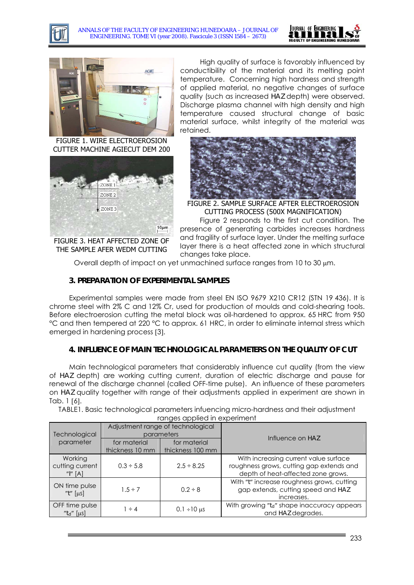





FIGURE 1. WIRE ELECTROEROSION CUTTER MACHINE AGIECUT DEM 200



FIGURE 3. HEAT AFFECTED ZONE OF THE SAMPLE AFER WEDM CUTTING

High quality of surface is favorably influenced by conductibility of the material and its melting point temperature. Concerning high hardness and strength of applied material, no negative changes of surface quality (such as increased *HAZ* depth) were observed. Discharge plasma channel with high density and high temperature caused structural change of basic material surface, whilst integrity of the material was retained.



FIGURE 2. SAMPLE SURFACE AFTER ELECTROEROSION CUTTING PROCESS (500X MAGNIFICATION)

Figure 2 responds to the first cut condition. The presence of generating carbides increases hardness and fragility of surface layer. Under the melting surface layer there is a heat affected zone in which structural changes take place.

Overall depth of impact on yet unmachined surface ranges from 10 to 30  $\mu$ m.

# **3. PREPARATION OF EXPERIMENTAL SAMPLES**

Experimental samples were made from steel EN ISO 9679 X210 CR12 (STN 19 436). It is chrome steel with 2% C and 12% Cr, used for production of moulds and cold-shearing tools. Before electroerosion cutting the metal block was oil-hardened to approx. 65 HRC from 950 °C and then tempered at 220 °C to approx. 61 HRC, in order to eliminate internal stress which emerged in hardening process [3].

## **4. INFLUENCE OF MAIN TECHNOLOGICAL PARAMETERS ON THE QUALITY OF CUT**

Main technological parameters that considerably influence cut quality (from the view of *HAZ* depth) are working cutting current, duration of electric discharge and pause for renewal of the discharge channel (called OFF-time pulse). An influence of these parameters on *HAZ* quality together with range of their adjustments applied in experiment are shown in Tab. 1 [6].

TABLE1. Basic technological parameters infuencing micro-hardness and their adjustment ranges applied in experiment

| Technological<br>parameter              | Adjustment range of technological<br>parameters |                                  | Influence on HAZ                                                                                                        |
|-----------------------------------------|-------------------------------------------------|----------------------------------|-------------------------------------------------------------------------------------------------------------------------|
|                                         | for material<br>thickness 10 mm                 | for material<br>thickness 100 mm |                                                                                                                         |
| Working<br>cutting current<br>"/" $[A]$ | $0.3 \div 5.8$                                  | $2.5 \div 8.25$                  | With increasing current value surface<br>roughness grows, cutting gap extends and<br>depth of heat-affected zone grows. |
| ON time pulse<br>" $t$ " [ $\mu$ s]     | $1.5 \div 7$                                    | $0.2 \div 8$                     | With "t" increase roughness grows, cutting<br>gap extends, cutting speed and HAZ<br>increases.                          |
| OFF time pulse<br>" $td$ " [µs]         | $1 \div 4$                                      | $0.1 \div 10 \,\mu s$            | With growing " $td$ " shape inaccuracy appears<br>and HAZ degrades.                                                     |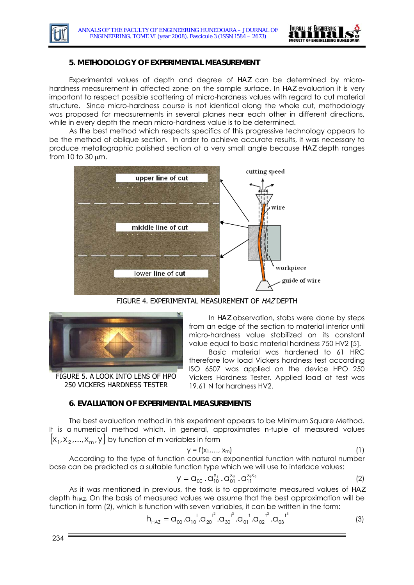

## **5. METHODOLOGY OF EXPERIMENTAL MEASUREMENT**

Experimental values of depth and degree of *HAZ* can be determined by microhardness measurement in affected zone on the sample surface. In *HAZ* evaluation it is very important to respect possible scattering of micro-hardness values with regard to cut material structure. Since micro-hardness course is not identical along the whole cut, methodology was proposed for measurements in several planes near each other in different directions, while in every depth the mean micro-hardness value is to be determined.

As the best method which respects specifics of this progressive technology appears to be the method of oblique section. In order to achieve accurate results, it was necessary to produce metallographic polished section at a very small angle because *HAZ* depth ranges from 10 to 30 μm.



FIGURE 4. EXPERIMENTAL MEASUREMENT OF HAZ DEPTH



FIGURE 5. A LOOK INTO LENS OF HPO 250 VICKERS HARDNESS TESTER

In *HAZ* observation, stabs were done by steps from an edge of the section to material interior until micro-hardness value stabilized on its constant value equal to basic material hardness 750 HV2 [5].

Basic material was hardened to 61 HRC therefore low load Vickers hardness test according ISO 6507 was applied on the device HPO 250 Vickers Hardness Tester. Applied load at test was 19.61 N for hardness HV2.

#### **6. EVALUATION OF EXPERIMENTAL MEASUREMENTS**

 $[x_1, x_2, ..., x_m, y]$  by function of m variables in form The best evaluation method in this experiment appears to be Minimum Square Method. It is a numerical method which, in general, approximates *n*-tuple of measured values

$$
y = f(x_1, \ldots, x_m) \tag{1}
$$

According to the type of function course an exponential function with natural number base can be predicted as a suitable function type which we will use to interlace values:

$$
y = G_{00} \cdot G_{10}^{x_1} \cdot G_{01}^{x_2} \cdot G_{11}^{x_1x_2} \tag{2}
$$

As it was mentioned in previous, the task is to approximate measured values of *HAZ* depth *hHAZ*. On the basis of measured values we assume that the best approximation will be function in form (2), which is function with seven variables, it can be written in the form:

$$
h_{HAZ} = G_{00}.G_{10}^{-1}.G_{20}^{-1^2}.G_{30}^{-1^3}.G_{01}^{-1}.G_{02}^{-1^2}.G_{03}^{-1^3}
$$
 (3)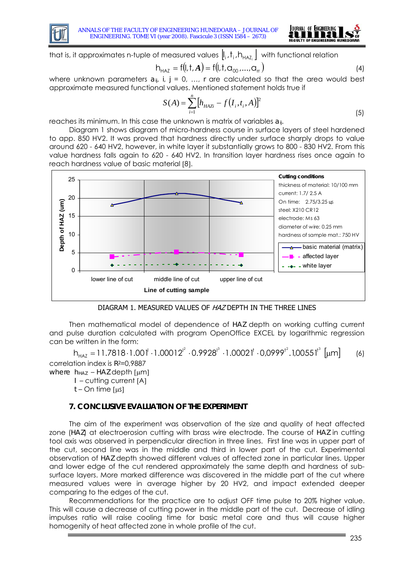



that is, it approximates n-tuple of measured values  $\|\cdot\|$ ,  $\|$ ,  $\|$ ,  $\|$ ,  $\|$ ,  $\|$  with functional relation

$$
h_{HAZ} = f(l, t, A) = f(l, t, \alpha_{00}, ..., \alpha_{rr})
$$
\n(4)

where unknown parameters  $a_{ij}$ ,  $j$ ,  $j = 0, ..., r$  are calculated so that the area would best approximate measured functional values. Mentioned statement holds true if

$$
S(A) = \sum_{i=1}^{n} \left[ h_{H A Z i} - f(I_i, t_i, A) \right]^2
$$
\n(5)

reaches its minimum. In this case the unknown is matrix of variables *aij*.

Diagram 1 shows diagram of micro-hardness course in surface layers of steel hardened to app. 850 HV2. It was proved that hardness directly under surface sharply drops to value around 620 - 640 HV2, however, in white layer it substantially grows to 800 - 830 HV2. From this value hardness falls again to 620 - 640 HV2. In transition layer hardness rises once again to reach hardness value of basic material [8].



DIAGRAM 1. MEASURED VALUES OF HAZ DEPTH IN THE THREE LINES

Then mathematical model of dependence of *HAZ* depth on working cutting current and pulse duration calculated with program OpenOffice EXCEL by logarithmic regression can be written in the form:

 $h_{HAZ} = 11.7818 \cdot 1.001^{l} \cdot 1.00012^{l^2} \cdot 0.9928^{l^3} \cdot 1.00021^{t} \cdot 0.09999^{t^2}.100551^{t^3} [µm]$  (6) correlation index is *R2*=0,9887

*where h<sub>HAZ</sub>* – *HAZ* depth [μm]

*I* – cutting current [A]

*t* – On time [μs]

## **7. CONCLUSIVE EVALUATION OF THE EXPERIMENT**

The aim of the experiment was observation of the size and quality of heat affected zone (*HAZ*) at electroerosion cutting with brass wire electrode. The course of *HAZ* in cutting tool axis was observed in perpendicular direction in three lines. First line was in upper part of the cut, second line was in the middle and third in lower part of the cut. Experimental observation of *HAZ* depth showed different values of affected zone in particular lines. Upper and lower edge of the cut rendered approximately the same depth and hardness of subsurface layers. More marked difference was discovered in the middle part of the cut where measured values were in average higher by 20 HV2, and impact extended deeper comparing to the edges of the cut.

Recommendations for the practice are to adjust OFF time pulse to 20% higher value. This will cause a decrease of cutting power in the middle part of the cut. Decrease of idling impulses ratio will raise cooling time for basic metal core and thus will cause higher homogenity of heat affected zone in whole profile of the cut.